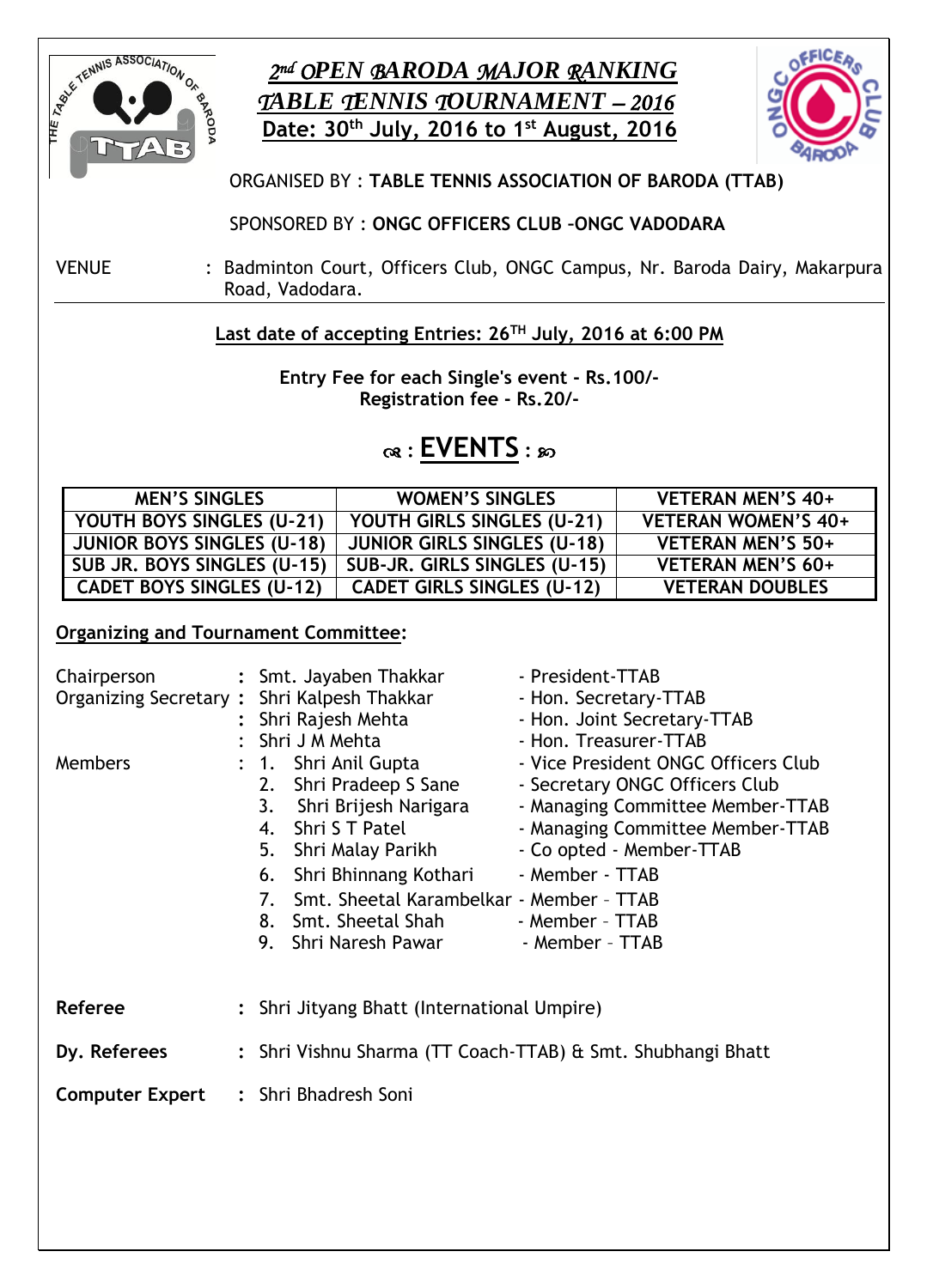

## *2 nd OPEN BARODA MAJOR RANKING TABLE TENNIS TOURNAMENT – 2016* **Date: 30 th July, 2016 to 1 st August, 2016**



### ORGANISED BY : **TABLE TENNIS ASSOCIATION OF BARODA (TTAB)**

SPONSORED BY : **ONGC OFFICERS CLUB –ONGC VADODARA**

VENUE : Badminton Court, Officers Club, ONGC Campus, Nr. Baroda Dairy, Makarpura Road, Vadodara.

### **Last date of accepting Entries: 26TH July, 2016 at 6:00 PM**

**Entry Fee for each Single's event - Rs.100/- Registration fee - Rs.20/-**

## **: EVENTS :**

| <b>MEN'S SINGLES</b>              | <b>WOMEN'S SINGLES</b>             | VETERAN MEN'S 40+          |
|-----------------------------------|------------------------------------|----------------------------|
| YOUTH BOYS SINGLES (U-21)         | YOUTH GIRLS SINGLES (U-21)         | <b>VETERAN WOMEN'S 40+</b> |
| <b>JUNIOR BOYS SINGLES (U-18)</b> | <b>JUNIOR GIRLS SINGLES (U-18)</b> | VETERAN MEN'S 50+          |
| SUB JR. BOYS SINGLES (U-15)       | SUB-JR. GIRLS SINGLES (U-15)       | VETERAN MEN'S 60+          |
| <b>CADET BOYS SINGLES (U-12)</b>  | <b>CADET GIRLS SINGLES (U-12)</b>  | <b>VETERAN DOUBLES</b>     |

#### **Organizing and Tournament Committee:**

|                        | Chairperson : Smt. Jayaben Thakkar<br>Organizing Secretary: Shri Kalpesh Thakkar<br>: Shri Rajesh Mehta<br>Shri J M Mehta                                                                                                                                         | - President-TTAB<br>- Hon. Secretary-TTAB<br>- Hon. Joint Secretary-TTAB<br>- Hon. Treasurer-TTAB                                                                                                                                  |  |
|------------------------|-------------------------------------------------------------------------------------------------------------------------------------------------------------------------------------------------------------------------------------------------------------------|------------------------------------------------------------------------------------------------------------------------------------------------------------------------------------------------------------------------------------|--|
| <b>Members</b>         | : 1. Shri Anil Gupta<br>Shri Pradeep S Sane<br>2.<br>Shri Brijesh Narigara<br>3.<br>Shri S T Patel<br>4.<br>5. Shri Malay Parikh<br>6. Shri Bhinnang Kothari<br>Smt. Sheetal Karambelkar - Member - TTAB<br>7.<br>8. Smt. Sheetal Shah<br>9.<br>Shri Naresh Pawar | - Vice President ONGC Officers Club<br>- Secretary ONGC Officers Club<br>- Managing Committee Member-TTAB<br>- Managing Committee Member-TTAB<br>- Co opted - Member-TTAB<br>- Member - TTAB<br>- Member - TTAB<br>- Member - TTAB |  |
| Referee                | Shri Jityang Bhatt (International Umpire)                                                                                                                                                                                                                         |                                                                                                                                                                                                                                    |  |
| Dy. Referees           | : Shri Vishnu Sharma (TT Coach-TTAB) & Smt. Shubhangi Bhatt                                                                                                                                                                                                       |                                                                                                                                                                                                                                    |  |
| <b>Computer Expert</b> | : Shri Bhadresh Soni                                                                                                                                                                                                                                              |                                                                                                                                                                                                                                    |  |